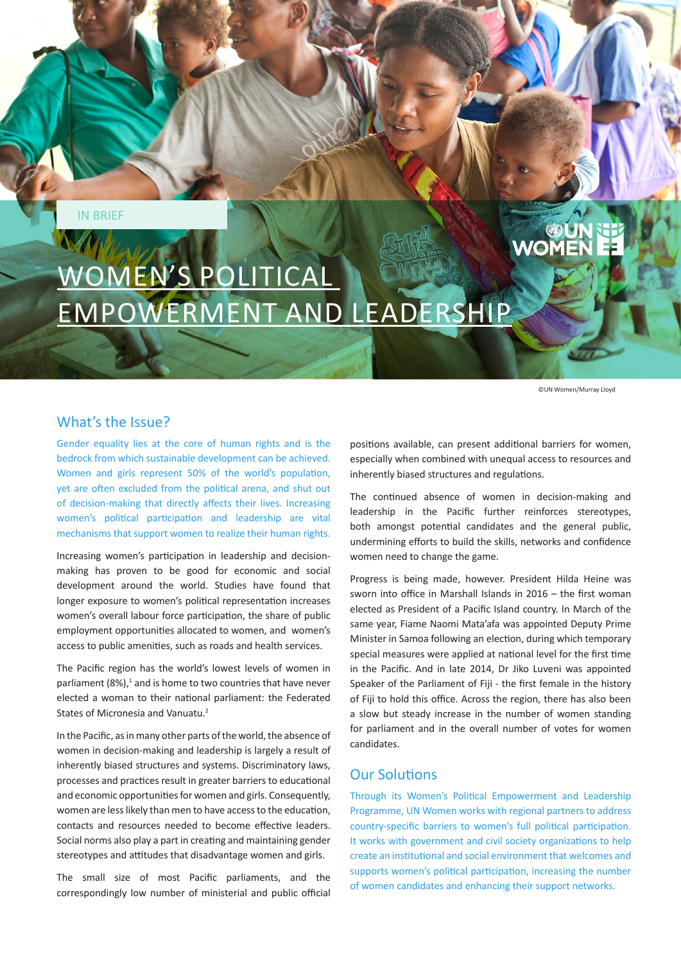IN BRIEF

# **UN**<br>WOMEN WOMEN'S POLITICAL EMPOWERMENT AND LEADERSHIP

©UN Women/Murray Lloyd

## What's the Issue?

Gender equality lies at the core of human rights and is the bedrock from which sustainable development can be achieved. Women and girls represent 50% of the world's population, yet are often excluded from the political arena, and shut out of decision-making that directly affects their lives. Increasing women's political participation and leadership are vital mechanisms that support women to realize their human rights.

Increasing women's participation in leadership and decisionmaking has proven to be good for economic and social development around the world. Studies have found that longer exposure to women's political representation increases women's overall labour force participation, the share of public employment opportunities allocated to women, and women's access to public amenities, such as roads and health services.

The Pacific region has the world's lowest levels of women in parliament  $(8\%)$ ,<sup>1</sup> and is home to two countries that have never elected a woman to their national parliament: the Federated States of Micronesia and Vanuatu.<sup>2</sup>

In the Pacific, as in many other parts of the world, the absence of women in decision-making and leadership is largely a result of inherently biased structures and systems. Discriminatory laws, processes and practices result in greater barriers to educational and economic opportunities for women and girls. Consequently, women are less likely than men to have access to the education, contacts and resources needed to become effective leaders. Social norms also play a part in creating and maintaining gender stereotypes and attitudes that disadvantage women and girls.

The small size of most Pacific parliaments, and the correspondingly low number of ministerial and public official positions available, can present additional barriers for women, especially when combined with unequal access to resources and inherently biased structures and regulations.

The continued absence of women in decision-making and leadership in the Pacific further reinforces stereotypes, both amongst potential candidates and the general public, undermining efforts to build the skills, networks and confidence women need to change the game.

Progress is being made, however. President Hilda Heine was sworn into office in Marshall Islands in 2016 – the first woman elected as President of a Pacific Island country. In March of the same year, Fiame Naomi Mata'afa was appointed Deputy Prime Minister in Samoa following an election, during which temporary special measures were applied at national level for the first time in the Pacific. And in late 2014, Dr Jiko Luveni was appointed Speaker of the Parliament of Fiji - the first female in the history of Fiji to hold this office. Across the region, there has also been a slow but steady increase in the number of women standing for parliament and in the overall number of votes for women candidates.

## Our Solutions

Through its Women's Political Empowerment and Leadership Programme, UN Women works with regional partners to address country-specific barriers to women's full political participation. It works with government and civil society organizations to help create an institutional and social environment that welcomes and supports women's political participation, increasing the number of women candidates and enhancing their support networks.